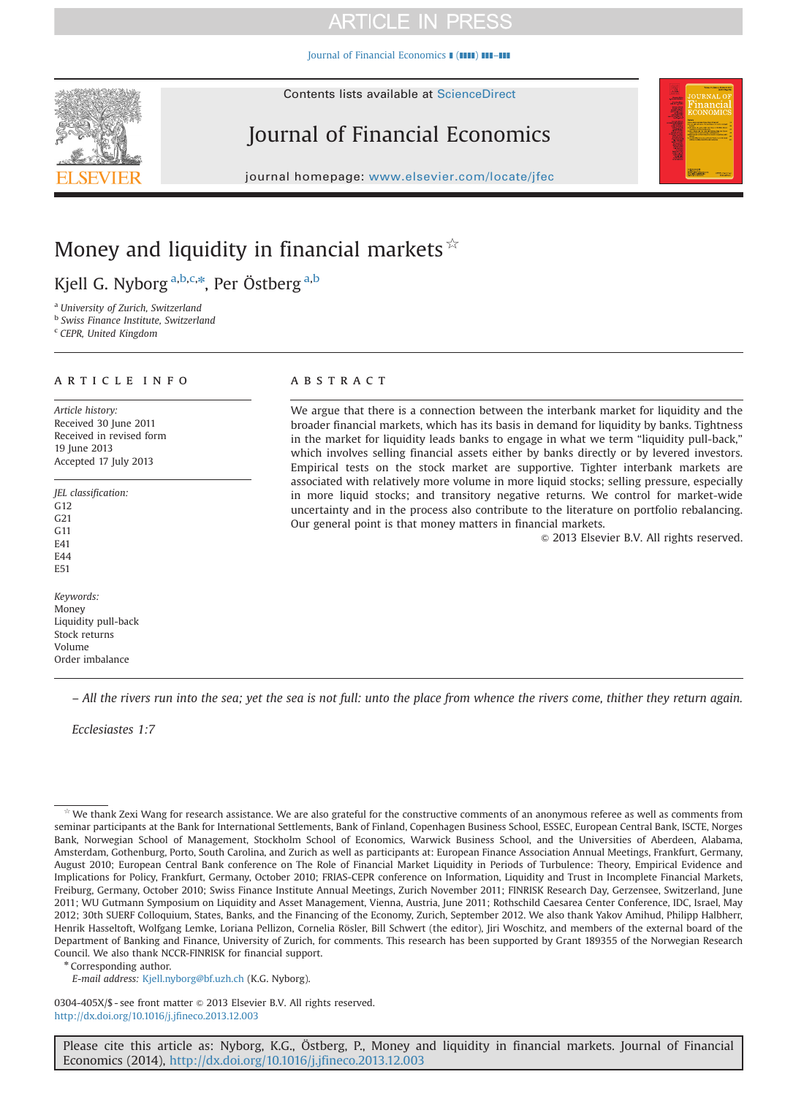### **ARTICLE IN PRESS**

[Journal of Financial Economics](http://dx.doi.org/10.1016/j.jfineco.2013.12.003)  $\blacksquare$  ( $\blacksquare$ )  $\blacksquare$ ]

# Journal of Financial Economics

journal homepage: <www.elsevier.com/locate/jfec>



Kjell G. Nyborg <sup>a,b,c,</sup>\*, Per Östberg <sup>a,b</sup>

<sup>a</sup> University of Zurich, Switzerland

<sup>b</sup> Swiss Finance Institute, Switzerland

<sup>c</sup> CEPR, United Kingdom

#### article info

Article history: Received 30 June 2011 Received in revised form 19 June 2013 Accepted 17 July 2013

JEL classification:

G12 G21 G11 E41

E44 E51

Keywords: Money Liquidity pull-back Stock returns Volume Order imbalance

### **ABSTRACT**

We argue that there is a connection between the interbank market for liquidity and the broader financial markets, which has its basis in demand for liquidity by banks. Tightness in the market for liquidity leads banks to engage in what we term "liquidity pull-back," which involves selling financial assets either by banks directly or by levered investors. Empirical tests on the stock market are supportive. Tighter interbank markets are associated with relatively more volume in more liquid stocks; selling pressure, especially in more liquid stocks; and transitory negative returns. We control for market-wide uncertainty and in the process also contribute to the literature on portfolio rebalancing. Our general point is that money matters in financial markets.

 $©$  2013 Elsevier B.V. All rights reserved.

– All the rivers run into the sea; yet the sea is not full: unto the place from whence the rivers come, thither they return again.

Ecclesiastes 1:7

\* Corresponding author.

E-mail address: [Kjell.nyborg@bf.uzh.ch](mailto:Kjell.nyborg@bf.uzh.ch) (K.G. Nyborg).

0304-405X/\$ - see front matter  $\odot$  2013 Elsevier B.V. All rights reserved. <http://dx.doi.org/10.1016/j.jfineco.2013.12.003>

Please cite this article as: Nyborg, K.G., Östberg, P., Money and liquidity in financial markets. Journal of Financial Economics (2014), [http://dx.doi.org/10.1016/j.jfineco.2013.12.003i](http://dx.doi.org/10.1016/j.jfineco.2013.12.003)



We thank Zexi Wang for research assistance. We are also grateful for the constructive comments of an anonymous referee as well as comments from seminar participants at the Bank for International Settlements, Bank of Finland, Copenhagen Business School, ESSEC, European Central Bank, ISCTE, Norges Bank, Norwegian School of Management, Stockholm School of Economics, Warwick Business School, and the Universities of Aberdeen, Alabama, Amsterdam, Gothenburg, Porto, South Carolina, and Zurich as well as participants at: European Finance Association Annual Meetings, Frankfurt, Germany, August 2010; European Central Bank conference on The Role of Financial Market Liquidity in Periods of Turbulence: Theory, Empirical Evidence and Implications for Policy, Frankfurt, Germany, October 2010; FRIAS-CEPR conference on Information, Liquidity and Trust in Incomplete Financial Markets, Freiburg, Germany, October 2010; Swiss Finance Institute Annual Meetings, Zurich November 2011; FINRISK Research Day, Gerzensee, Switzerland, June 2011; WU Gutmann Symposium on Liquidity and Asset Management, Vienna, Austria, June 2011; Rothschild Caesarea Center Conference, IDC, Israel, May 2012; 30th SUERF Colloquium, States, Banks, and the Financing of the Economy, Zurich, September 2012. We also thank Yakov Amihud, Philipp Halbherr, Henrik Hasseltoft, Wolfgang Lemke, Loriana Pellizon, Cornelia Rösler, Bill Schwert (the editor), Jiri Woschitz, and members of the external board of the Department of Banking and Finance, University of Zurich, for comments. This research has been supported by Grant 189355 of the Norwegian Research Council. We also thank NCCR-FINRISK for financial support.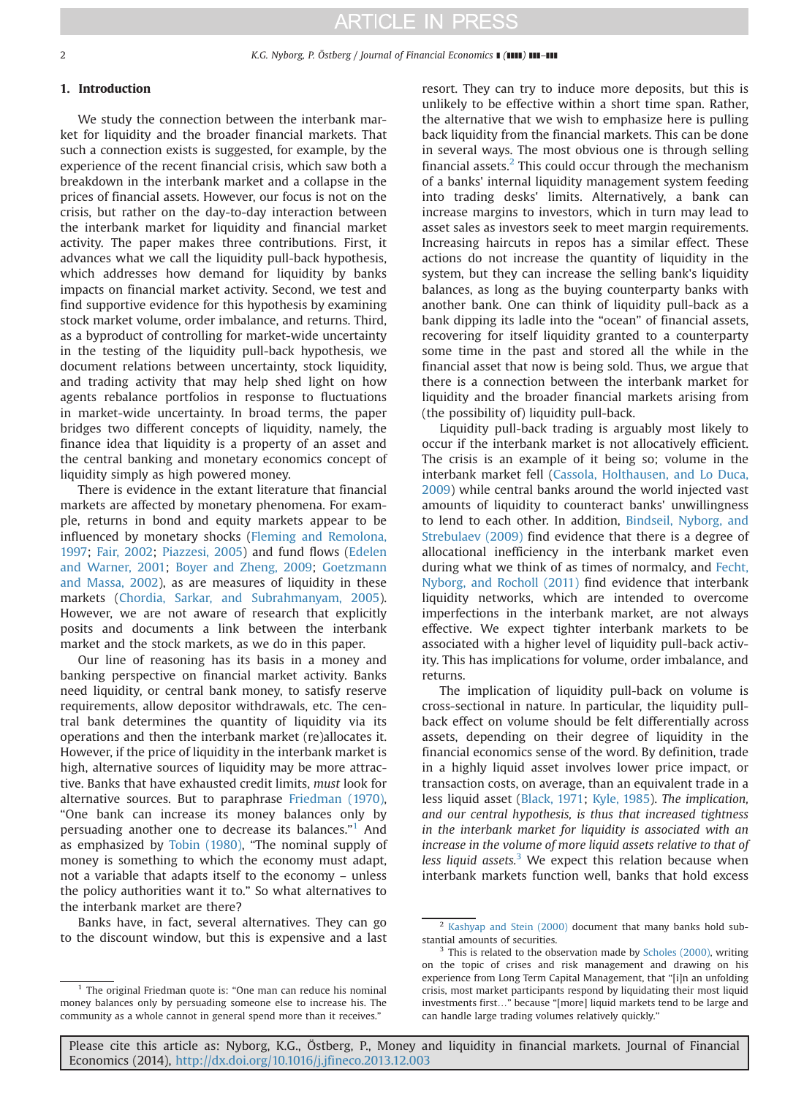#### 1. Introduction

We study the connection between the interbank market for liquidity and the broader financial markets. That such a connection exists is suggested, for example, by the experience of the recent financial crisis, which saw both a breakdown in the interbank market and a collapse in the prices of financial assets. However, our focus is not on the crisis, but rather on the day-to-day interaction between the interbank market for liquidity and financial market activity. The paper makes three contributions. First, it advances what we call the liquidity pull-back hypothesis, which addresses how demand for liquidity by banks impacts on financial market activity. Second, we test and find supportive evidence for this hypothesis by examining stock market volume, order imbalance, and returns. Third, as a byproduct of controlling for market-wide uncertainty in the testing of the liquidity pull-back hypothesis, we document relations between uncertainty, stock liquidity, and trading activity that may help shed light on how agents rebalance portfolios in response to fluctuations in market-wide uncertainty. In broad terms, the paper bridges two different concepts of liquidity, namely, the finance idea that liquidity is a property of an asset and the central banking and monetary economics concept of liquidity simply as high powered money.

There is evidence in the extant literature that financial markets are affected by monetary phenomena. For example, returns in bond and equity markets appear to be influenced by monetary shocks [\(Fleming and Remolona,](#page--1-0) [1997](#page--1-0); [Fair, 2002;](#page--1-0) [Piazzesi, 2005](#page--1-0)) and fund flows [\(Edelen](#page--1-0) [and Warner, 2001](#page--1-0); [Boyer and Zheng, 2009](#page--1-0); [Goetzmann](#page--1-0) [and Massa, 2002](#page--1-0)), as are measures of liquidity in these markets ([Chordia, Sarkar, and Subrahmanyam, 2005](#page--1-0)). However, we are not aware of research that explicitly posits and documents a link between the interbank market and the stock markets, as we do in this paper.

Our line of reasoning has its basis in a money and banking perspective on financial market activity. Banks need liquidity, or central bank money, to satisfy reserve requirements, allow depositor withdrawals, etc. The central bank determines the quantity of liquidity via its operations and then the interbank market (re)allocates it. However, if the price of liquidity in the interbank market is high, alternative sources of liquidity may be more attractive. Banks that have exhausted credit limits, must look for alternative sources. But to paraphrase [Friedman \(1970\)](#page--1-0), "One bank can increase its money balances only by persuading another one to decrease its balances."<sup>1</sup> And as emphasized by [Tobin \(1980\),](#page--1-0) "The nominal supply of money is something to which the economy must adapt, not a variable that adapts itself to the economy – unless the policy authorities want it to." So what alternatives to the interbank market are there?

Banks have, in fact, several alternatives. They can go to the discount window, but this is expensive and a last

resort. They can try to induce more deposits, but this is unlikely to be effective within a short time span. Rather, the alternative that we wish to emphasize here is pulling back liquidity from the financial markets. This can be done in several ways. The most obvious one is through selling financial assets. $2$  This could occur through the mechanism of a banks' internal liquidity management system feeding into trading desks' limits. Alternatively, a bank can increase margins to investors, which in turn may lead to asset sales as investors seek to meet margin requirements. Increasing haircuts in repos has a similar effect. These actions do not increase the quantity of liquidity in the system, but they can increase the selling bank's liquidity balances, as long as the buying counterparty banks with another bank. One can think of liquidity pull-back as a bank dipping its ladle into the "ocean" of financial assets, recovering for itself liquidity granted to a counterparty some time in the past and stored all the while in the financial asset that now is being sold. Thus, we argue that there is a connection between the interbank market for liquidity and the broader financial markets arising from (the possibility of) liquidity pull-back.

Liquidity pull-back trading is arguably most likely to occur if the interbank market is not allocatively efficient. The crisis is an example of it being so; volume in the interbank market fell ([Cassola, Holthausen, and Lo Duca,](#page--1-0) [2009](#page--1-0)) while central banks around the world injected vast amounts of liquidity to counteract banks' unwillingness to lend to each other. In addition, [Bindseil, Nyborg, and](#page--1-0) [Strebulaev \(2009\)](#page--1-0) find evidence that there is a degree of allocational inefficiency in the interbank market even during what we think of as times of normalcy, and [Fecht,](#page--1-0) [Nyborg, and Rocholl \(2011\)](#page--1-0) find evidence that interbank liquidity networks, which are intended to overcome imperfections in the interbank market, are not always effective. We expect tighter interbank markets to be associated with a higher level of liquidity pull-back activity. This has implications for volume, order imbalance, and returns.

The implication of liquidity pull-back on volume is cross-sectional in nature. In particular, the liquidity pullback effect on volume should be felt differentially across assets, depending on their degree of liquidity in the financial economics sense of the word. By definition, trade in a highly liquid asset involves lower price impact, or transaction costs, on average, than an equivalent trade in a less liquid asset ([Black, 1971](#page--1-0); [Kyle, 1985](#page--1-0)). The implication, and our central hypothesis, is thus that increased tightness in the interbank market for liquidity is associated with an increase in the volume of more liquid assets relative to that of less liquid assets. $3$  We expect this relation because when interbank markets function well, banks that hold excess

Please cite this article as: Nyborg, K.G., Östberg, P., Money and liquidity in financial markets. Journal of Financial Economics (2014), [http://dx.doi.org/10.1016/j.jfineco.2013.12.003i](http://dx.doi.org/10.1016/j.jfineco.2013.12.003)

 $1$  The original Friedman quote is: "One man can reduce his nominal money balances only by persuading someone else to increase his. The community as a whole cannot in general spend more than it receives."

<sup>&</sup>lt;sup>2</sup> [Kashyap and Stein \(2000\)](#page--1-0) document that many banks hold substantial amounts of securities.

<sup>&</sup>lt;sup>3</sup> This is related to the observation made by [Scholes \(2000\)](#page--1-0), writing on the topic of crises and risk management and drawing on his experience from Long Term Capital Management, that "[i]n an unfolding crisis, most market participants respond by liquidating their most liquid investments first…" because "[more] liquid markets tend to be large and can handle large trading volumes relatively quickly."